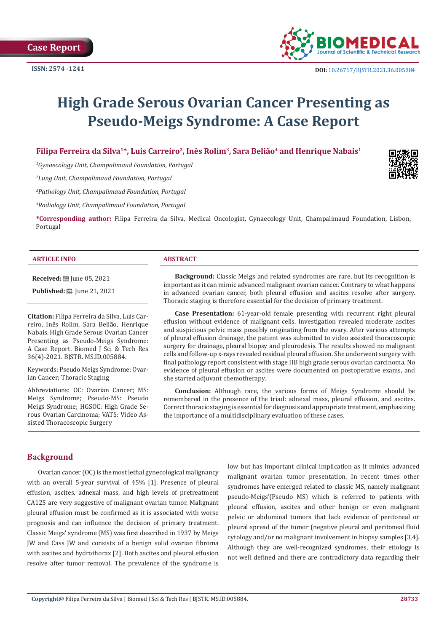

# **High Grade Serous Ovarian Cancer Presenting as Pseudo-Meigs Syndrome: A Case Report**

# Filipa Ferreira da Silva<sup>1\*</sup>, Luís Carreiro<sup>2</sup>, Inês Rolim<sup>3</sup>, Sara Belião<sup>4</sup> and Henrique Nabais<sup>1</sup>

*1 Gynaecology Unit, Champalimaud Foundation, Portugal*

*2 Lung Unit, Champalimaud Foundation, Portugal*

*3 Pathology Unit, Champalimaud Foundation, Portugal*

*4 Radiology Unit, Champalimaud Foundation, Portugal*

**\*Corresponding author:** Filipa Ferreira da Silva, Medical Oncologist, Gynaecology Unit, Champalimaud Foundation, Lisbon, Portugal

#### **ARTICLE INFO ABSTRACT**

**Received:** ■ June 05, 2021

**Published:** ■ June 21, 2021

**Citation:** Filipa Ferreira da Silva, Luís Carreiro, Inês Rolim, Sara Belião, Henrique Nabais. High Grade Serous Ovarian Cancer Presenting as Pseudo-Meigs Syndrome: A Case Report. Biomed J Sci & Tech Res 36(4)-2021. BJSTR. MS.ID.005884.

Keywords: Pseudo Meigs Syndrome; Ovarian Cancer; Thoracic Staging

Abbreviations: OC: Ovarian Cancer; MS: Meigs Syndrome; Pseudo-MS: Pseudo Meigs Syndrome; HGSOC: High Grade Serous Ovarian Carcinoma; VATS: Video Assisted Thoracoscopic Surgery

**Background:** Classic Meigs and related syndromes are rare, but its recognition is important as it can mimic advanced malignant ovarian cancer. Contrary to what happens in advanced ovarian cancer, both pleural effusion and ascites resolve after surgery. Thoracic staging is therefore essential for the decision of primary treatment.

**Case Presentation:** 61-year-old female presenting with recurrent right pleural effusion without evidence of malignant cells. Investigation revealed moderate ascites and suspicious pelvic mass possibly originating from the ovary. After various attempts of pleural effusion drainage, the patient was submitted to video assisted thoracoscopic surgery for drainage, pleural biopsy and pleurodesis. The results showed no malignant cells and follow-up x-rays revealed residual pleural effusion. She underwent surgery with final pathology report consistent with stage IIB high grade serous ovarian carcinoma. No evidence of pleural effusion or ascites were documented on postoperative exams, and she started adjuvant chemotherapy.

**Conclusion:** Although rare, the various forms of Meigs Syndrome should be remembered in the presence of the triad: adnexal mass, pleural effusion, and ascites. Correct thoracic staging is essential for diagnosis and appropriate treatment, emphasizing the importance of a multidisciplinary evaluation of these cases.

# **Background**

Ovarian cancer (OC) is the most lethal gynecological malignancy with an overall 5-year survival of 45% [1]. Presence of pleural effusion, ascites, adnexal mass, and high levels of pretreatment CA125 are very suggestive of malignant ovarian tumor. Malignant pleural effusion must be confirmed as it is associated with worse prognosis and can influence the decision of primary treatment. Classic Meigs' syndrome (MS) was first described in 1937 by Meigs JW and Cass JW and consists of a benign solid ovarian fibroma with ascites and hydrothorax [2]. Both ascites and pleural effusion resolve after tumor removal. The prevalence of the syndrome is low but has important clinical implication as it mimics advanced malignant ovarian tumor presentation. In recent times other syndromes have emerged related to classic MS, namely malignant pseudo-Meigs'(Pseudo MS) which is referred to patients with pleural effusion, ascites and other benign or even malignant pelvic or abdominal tumors that lack evidence of peritoneal or pleural spread of the tumor (negative pleural and peritoneal fluid cytology and/or no malignant involvement in biopsy samples [3,4]. Although they are well-recognized syndromes, their etiology is not well defined and there are contradictory data regarding their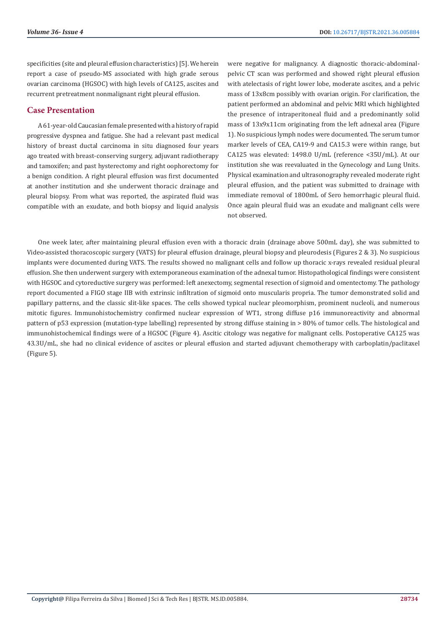specificities (site and pleural effusion characteristics) [5]. We herein report a case of pseudo-MS associated with high grade serous ovarian carcinoma (HGSOC) with high levels of CA125, ascites and recurrent pretreatment nonmalignant right pleural effusion.

# **Case Presentation**

A 61-year-old Caucasian female presented with a history of rapid progressive dyspnea and fatigue. She had a relevant past medical history of breast ductal carcinoma in situ diagnosed four years ago treated with breast-conserving surgery, adjuvant radiotherapy and tamoxifen; and past hysterectomy and right oophorectomy for a benign condition. A right pleural effusion was first documented at another institution and she underwent thoracic drainage and pleural biopsy. From what was reported, the aspirated fluid was compatible with an exudate, and both biopsy and liquid analysis were negative for malignancy. A diagnostic thoracic-abdominalpelvic CT scan was performed and showed right pleural effusion with atelectasis of right lower lobe, moderate ascites, and a pelvic mass of 13x8cm possibly with ovarian origin. For clarification, the patient performed an abdominal and pelvic MRI which highlighted the presence of intraperitoneal fluid and a predominantly solid mass of 13x9x11cm originating from the left adnexal area (Figure 1). No suspicious lymph nodes were documented. The serum tumor marker levels of CEA, CA19-9 and CA15.3 were within range, but CA125 was elevated: 1498.0 U/mL (reference <35U/mL). At our institution she was reevaluated in the Gynecology and Lung Units. Physical examination and ultrasonography revealed moderate right pleural effusion, and the patient was submitted to drainage with immediate removal of 1800mL of Sero hemorrhagic pleural fluid. Once again pleural fluid was an exudate and malignant cells were not observed.

One week later, after maintaining pleural effusion even with a thoracic drain (drainage above 500mL day), she was submitted to Video-assisted thoracoscopic surgery (VATS) for pleural effusion drainage, pleural biopsy and pleurodesis (Figures 2 & 3). No suspicious implants were documented during VATS. The results showed no malignant cells and follow up thoracic x-rays revealed residual pleural effusion. She then underwent surgery with extemporaneous examination of the adnexal tumor. Histopathological findings were consistent with HGSOC and cytoreductive surgery was performed: left anexectomy, segmental resection of sigmoid and omentectomy. The pathology report documented a FIGO stage IIB with extrinsic infiltration of sigmoid onto muscularis propria. The tumor demonstrated solid and papillary patterns, and the classic slit-like spaces. The cells showed typical nuclear pleomorphism, prominent nucleoli, and numerous mitotic figures. Immunohistochemistry confirmed nuclear expression of WT1, strong diffuse p16 immunoreactivity and abnormal pattern of p53 expression (mutation-type labelling) represented by strong diffuse staining in > 80% of tumor cells. The histological and immunohistochemical findings were of a HGSOC (Figure 4). Ascitic citology was negative for malignant cells. Postoperative CA125 was 43.3U/mL, she had no clinical evidence of ascites or pleural effusion and started adjuvant chemotherapy with carboplatin/paclitaxel (Figure 5).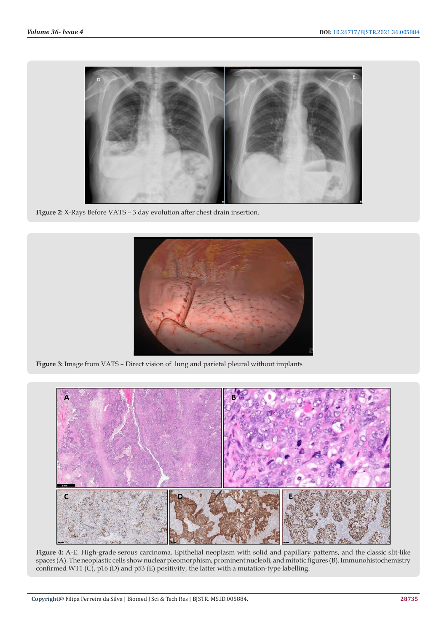

**Figure 2:** X-Rays Before VATS – 3 day evolution after chest drain insertion.



**Figure 3:** Image from VATS – Direct vision of lung and parietal pleural without implants



**Figure 4:** A-E. High-grade serous carcinoma. Epithelial neoplasm with solid and papillary patterns, and the classic slit-like spaces (A). The neoplastic cells show nuclear pleomorphism, prominent nucleoli, and mitotic figures (B). Immunohistochemistry confirmed WT1 (C), p16 (D) and p53 (E) positivity, the latter with a mutation-type labelling.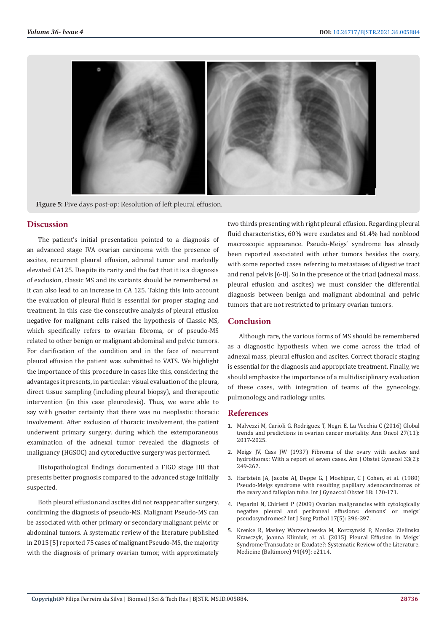

**Figure 5:** Five days post-op: Resolution of left pleural effusion.

### **Discussion**

The patient's initial presentation pointed to a diagnosis of an advanced stage IVA ovarian carcinoma with the presence of ascites, recurrent pleural effusion, adrenal tumor and markedly elevated CA125. Despite its rarity and the fact that it is a diagnosis of exclusion, classic MS and its variants should be remembered as it can also lead to an increase in CA 125. Taking this into account the evaluation of pleural fluid is essential for proper staging and treatment. In this case the consecutive analysis of pleural effusion negative for malignant cells raised the hypothesis of Classic MS, which specifically refers to ovarian fibroma, or of pseudo-MS related to other benign or malignant abdominal and pelvic tumors. For clarification of the condition and in the face of recurrent pleural effusion the patient was submitted to VATS. We highlight the importance of this procedure in cases like this, considering the advantages it presents, in particular: visual evaluation of the pleura, direct tissue sampling (including pleural biopsy), and therapeutic intervention (in this case pleurodesis). Thus, we were able to say with greater certainty that there was no neoplastic thoracic involvement. After exclusion of thoracic involvement, the patient underwent primary surgery, during which the extemporaneous examination of the adnexal tumor revealed the diagnosis of malignancy (HGSOC) and cytoreductive surgery was performed.

Histopathological findings documented a FIGO stage IIB that presents better prognosis compared to the advanced stage initially suspected.

Both pleural effusion and ascites did not reappear after surgery, confirming the diagnosis of pseudo-MS. Malignant Pseudo-MS can be associated with other primary or secondary malignant pelvic or abdominal tumors. A systematic review of the literature published in 2015 [5] reported 75 cases of malignant Pseudo-MS, the majority with the diagnosis of primary ovarian tumor, with approximately

two thirds presenting with right pleural effusion. Regarding pleural fluid characteristics, 60% were exudates and 61.4% had nonblood macroscopic appearance. Pseudo-Meigs' syndrome has already been reported associated with other tumors besides the ovary, with some reported cases referring to metastases of digestive tract and renal pelvis [6-8]. So in the presence of the triad (adnexal mass, pleural effusion and ascites) we must consider the differential diagnosis between benign and malignant abdominal and pelvic tumors that are not restricted to primary ovarian tumors.

## **Conclusion**

Although rare, the various forms of MS should be remembered as a diagnostic hypothesis when we come across the triad of adnexal mass, pleural effusion and ascites. Correct thoracic staging is essential for the diagnosis and appropriate treatment. Finally, we should emphasize the importance of a multidisciplinary evaluation of these cases, with integration of teams of the gynecology, pulmonology, and radiology units.

#### **References**

- 1. [Malvezzi M, Carioli G, Rodriguez T, Negri E, La Vecchia C \(2016\) Global](https://pubmed.ncbi.nlm.nih.gov/27597548/) [trends and predictions in ovarian cancer mortality. Ann Oncol 27\(11\):](https://pubmed.ncbi.nlm.nih.gov/27597548/) [2017-2025.](https://pubmed.ncbi.nlm.nih.gov/27597548/)
- 2. Meigs JV, Cass JW (1937) Fibroma of the ovary with ascites and hydrothorax: With a report of seven cases. Am J Obstet Gynecol 33(2): 249-267.
- 3. [Hartstein JA, Jacobs AJ, Deppe G, J Moshipur, C J Cohen, et al. \(1980\)](https://pubmed.ncbi.nlm.nih.gov/6109647/) [Pseudo-Meigs syndrome with resulting papillary adenocarcinomas of](https://pubmed.ncbi.nlm.nih.gov/6109647/) [the ovary and fallopian tube. Int J Gynaecol Obstet 18: 170-171.](https://pubmed.ncbi.nlm.nih.gov/6109647/)
- 4. [Peparini N, Chirletti P \(2009\) Ovarian malignancies with cytologically](https://pubmed.ncbi.nlm.nih.gov/19448068/) [negative pleural and peritoneal effusions: demons' or meigs'](https://pubmed.ncbi.nlm.nih.gov/19448068/) [pseudosyndromes? Int J Surg Pathol 17\(5\): 396-397.](https://pubmed.ncbi.nlm.nih.gov/19448068/)
- 5. [Krenke R, Maskey Warzechowska M, Korczynski P, Monika Zielinska](https://www.ncbi.nlm.nih.gov/pmc/articles/PMC5008483/) [Krawczyk, Joanna Klimiuk, et al. \(2015\) Pleural Effusion in Meigs'](https://www.ncbi.nlm.nih.gov/pmc/articles/PMC5008483/) [Syndrome-Transudate or Exudate?: Systematic Review of the Literature.](https://www.ncbi.nlm.nih.gov/pmc/articles/PMC5008483/) [Medicine \(Baltimore\) 94\(49\): e2114.](https://www.ncbi.nlm.nih.gov/pmc/articles/PMC5008483/)